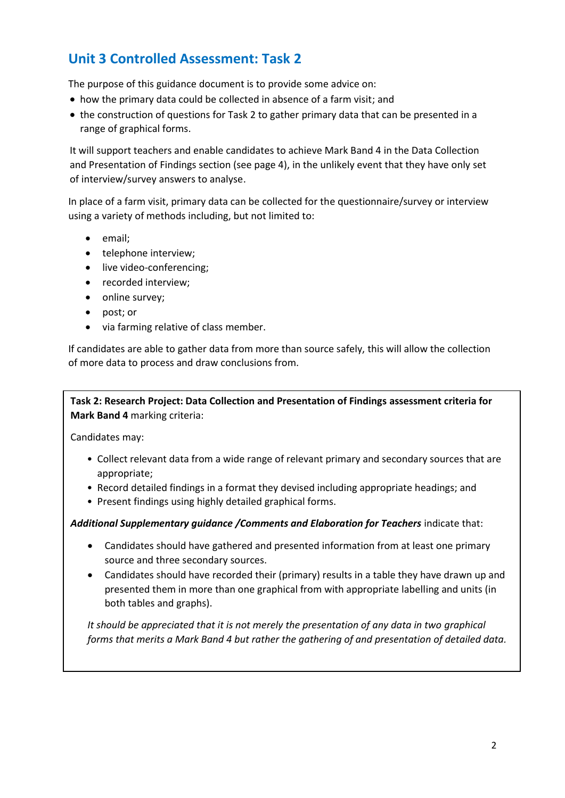# **Unit 3 Controlled Assessment: Task 2**

The purpose of this guidance document is to provide some advice on:

- how the primary data could be collected in absence of a farm visit; and
- the construction of questions for Task 2 to gather primary data that can be presented in a range of graphical forms.

It will support teachers and enable candidates to achieve Mark Band 4 in the Data Collection and Presentation of Findings section (see page 4), in the unlikely event that they have only set of interview/survey answers to analyse.

In place of a farm visit, primary data can be collected for the questionnaire/survey or interview using a variety of methods including, but not limited to:

- email;
- telephone interview;
- live video-conferencing;
- recorded interview;
- online survey:
- post; or
- via farming relative of class member.

If candidates are able to gather data from more than source safely, this will allow the collection of more data to process and draw conclusions from.

**Task 2: Research Project: Data Collection and Presentation of Findings assessment criteria for Mark Band 4** marking criteria:

Candidates may:

- Collect relevant data from a wide range of relevant primary and secondary sources that are appropriate;
- Record detailed findings in a format they devised including appropriate headings; and
- Present findings using highly detailed graphical forms.

## *Additional Supplementary guidance /Comments and Elaboration for Teachers* indicate that:

- Candidates should have gathered and presented information from at least one primary source and three secondary sources.
- Candidates should have recorded their (primary) results in a table they have drawn up and presented them in more than one graphical from with appropriate labelling and units (in both tables and graphs).

*It should be appreciated that it is not merely the presentation of any data in two graphical forms that merits a Mark Band 4 but rather the gathering of and presentation of detailed data.*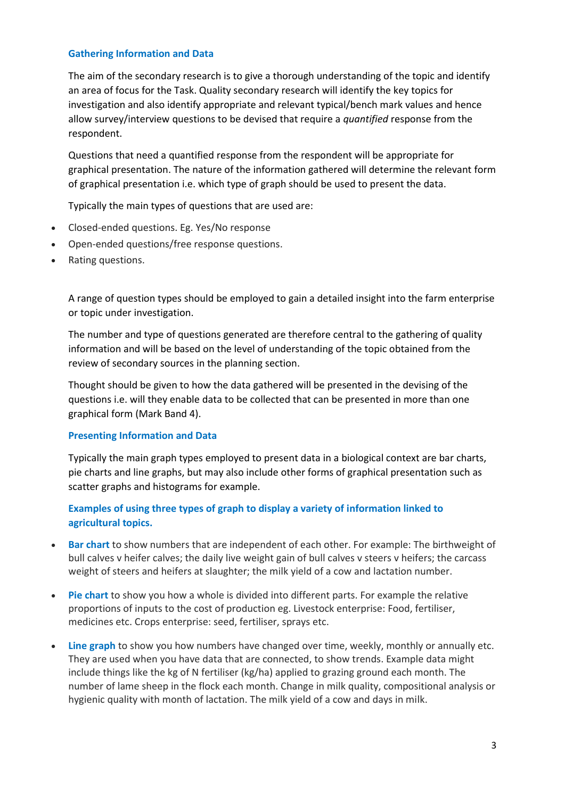#### **Gathering Information and Data**

The aim of the secondary research is to give a thorough understanding of the topic and identify an area of focus for the Task. Quality secondary research will identify the key topics for investigation and also identify appropriate and relevant typical/bench mark values and hence allow survey/interview questions to be devised that require a *quantified* response from the respondent.

Questions that need a quantified response from the respondent will be appropriate for graphical presentation. The nature of the information gathered will determine the relevant form of graphical presentation i.e. which type of graph should be used to present the data.

Typically the main types of questions that are used are:

- Closed-ended questions. Eg. Yes/No response
- Open-ended questions/free response questions.
- Rating questions.

A range of question types should be employed to gain a detailed insight into the farm enterprise or topic under investigation.

The number and type of questions generated are therefore central to the gathering of quality information and will be based on the level of understanding of the topic obtained from the review of secondary sources in the planning section.

Thought should be given to how the data gathered will be presented in the devising of the questions i.e. will they enable data to be collected that can be presented in more than one graphical form (Mark Band 4).

## **Presenting Information and Data**

Typically the main graph types employed to present data in a biological context are bar charts, pie charts and line graphs, but may also include other forms of graphical presentation such as scatter graphs and histograms for example.

# **Examples of using three types of graph to display a variety of information linked to agricultural topics.**

- **Bar chart** to show numbers that are independent of each other. For example: The birthweight of bull calves v heifer calves; the daily live weight gain of bull calves v steers v heifers; the carcass weight of steers and heifers at slaughter; the milk yield of a cow and lactation number.
- **Pie chart** to show you how a whole is divided into different parts. For example the relative proportions of inputs to the cost of production eg. Livestock enterprise: Food, fertiliser, medicines etc. Crops enterprise: seed, fertiliser, sprays etc.
- **Line graph** to show you how numbers have changed over time, weekly, monthly or annually etc. They are used when you have data that are connected, to show trends. Example data might include things like the kg of N fertiliser (kg/ha) applied to grazing ground each month. The number of lame sheep in the flock each month. Change in milk quality, compositional analysis or hygienic quality with month of lactation. The milk yield of a cow and days in milk.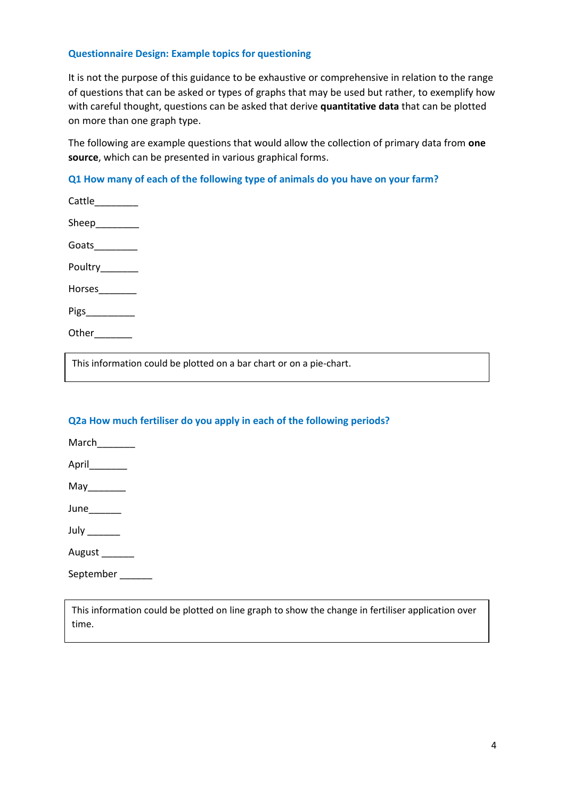#### **Questionnaire Design: Example topics for questioning**

It is not the purpose of this guidance to be exhaustive or comprehensive in relation to the range of questions that can be asked or types of graphs that may be used but rather, to exemplify how with careful thought, questions can be asked that derive **quantitative data** that can be plotted on more than one graph type.

The following are example questions that would allow the collection of primary data from **one source**, which can be presented in various graphical forms.

## **Q1 How many of each of the following type of animals do you have on your farm?**

| Cattle_________ |  |
|-----------------|--|
| Sheep_________  |  |
| Goats________   |  |
| Poultry_______  |  |
| Horses________  |  |
| Pigs___________ |  |
| Other           |  |

This information could be plotted on a bar chart or on a pie-chart.

# **Q2a How much fertiliser do you apply in each of the following periods?**

March\_\_\_\_\_\_\_\_\_

April

 $May$ 

June

July **\_\_\_\_\_\_\_** 

August

September \_\_\_\_\_\_

This information could be plotted on line graph to show the change in fertiliser application over time.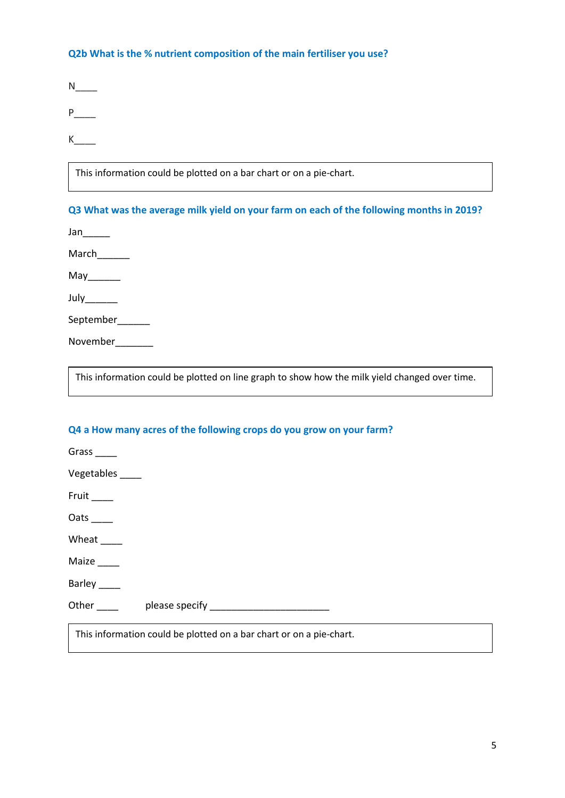#### **Q2b What is the % nutrient composition of the main fertiliser you use?**

 $N_{\_\_\_\_\_\$ 

 $P_{\perp}$ 

 $K$ <sub>\_\_\_\_\_</sub>

This information could be plotted on a bar chart or on a pie-chart.

## **Q3 What was the average milk yield on your farm on each of the following months in 2019?**

 $Jan$ 

March\_\_\_\_\_\_

 $May$ 

July\_\_\_\_\_\_\_

September\_\_\_\_\_\_

November\_\_\_\_\_\_\_\_

This information could be plotted on line graph to show how the milk yield changed over time.

## **Q4 a How many acres of the following crops do you grow on your farm?**

Grass \_\_\_\_\_

Vegetables \_\_\_\_

Fruit  $\_\_$ 

Oats\_

Wheat \_\_\_\_

Maize \_\_\_\_

Barley \_\_\_\_

Other \_\_\_\_ please specify \_\_\_\_\_\_\_\_\_\_\_\_\_\_\_\_\_\_\_\_\_\_

This information could be plotted on a bar chart or on a pie-chart.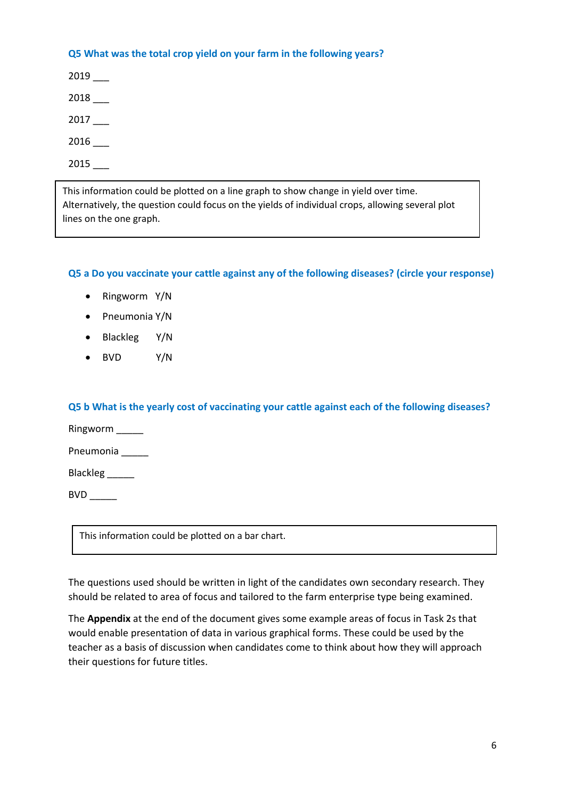#### **Q5 What was the total crop yield on your farm in the following years?**

2019 \_\_\_

2018 \_\_\_

2017 \_\_\_

2016 \_\_\_

2015 \_\_\_

This information could be plotted on a line graph to show change in yield over time. Alternatively, the question could focus on the yields of individual crops, allowing several plot lines on the one graph.

## **Q5 a Do you vaccinate your cattle against any of the following diseases? (circle your response)**

- Ringworm Y/N
- Pneumonia Y/N
- Blackleg Y/N
- BVD Y/N

## **Q5 b What is the yearly cost of vaccinating your cattle against each of the following diseases?**

Ringworm \_\_\_\_\_ Pneumonia \_

Blackleg

BVD \_\_\_\_\_

This information could be plotted on a bar chart.

The questions used should be written in light of the candidates own secondary research. They should be related to area of focus and tailored to the farm enterprise type being examined.

The **Appendix** at the end of the document gives some example areas of focus in Task 2s that would enable presentation of data in various graphical forms. These could be used by the teacher as a basis of discussion when candidates come to think about how they will approach their questions for future titles.